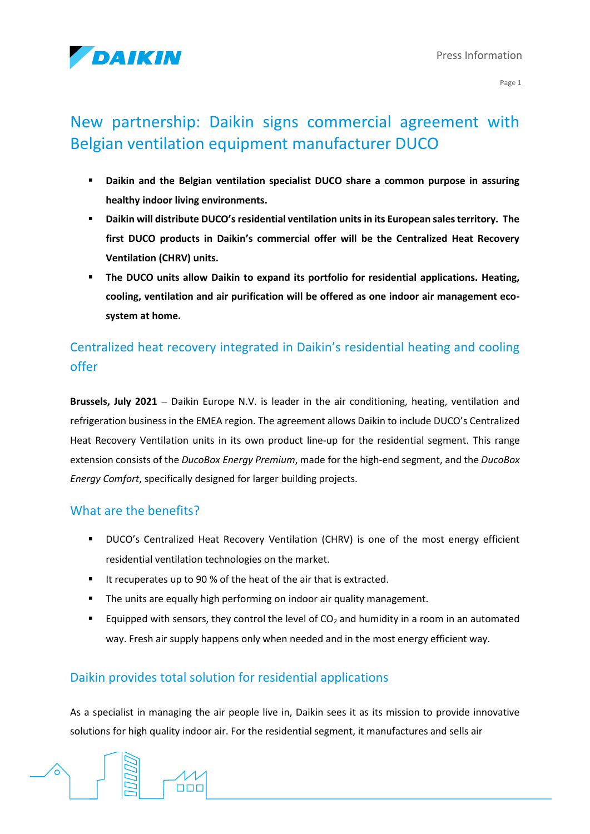

Page 1

# New partnership: Daikin signs commercial agreement with Belgian ventilation equipment manufacturer DUCO

- **Daikin and the Belgian ventilation specialist DUCO share a common purpose in assuring healthy indoor living environments.**
- **Daikin will distribute DUCO's residential ventilation units in its European sales territory. The first DUCO products in Daikin's commercial offer will be the Centralized Heat Recovery Ventilation (CHRV) units.**
- The DUCO units allow Daikin to expand its portfolio for residential applications. Heating, **cooling, ventilation and air purification will be offered as one indoor air management ecosystem at home.**

## Centralized heat recovery integrated in Daikin's residential heating and cooling offer

**Brussels, July 2021** – Daikin Europe N.V. is leader in the air conditioning, heating, ventilation and refrigeration business in the EMEA region. The agreement allows Daikin to include DUCO's Centralized Heat Recovery Ventilation units in its own product line-up for the residential segment. This range extension consists of the *DucoBox Energy Premium*, made for the high-end segment, and the *DucoBox Energy Comfort*, specifically designed for larger building projects.

### What are the benefits?

- DUCO's Centralized Heat Recovery Ventilation (CHRV) is one of the most energy efficient residential ventilation technologies on the market.
- It recuperates up to 90 % of the heat of the air that is extracted.
- **E** The units are equally high performing on indoor air quality management.
- **Equipped with sensors, they control the level of CO<sub>2</sub> and humidity in a room in an automated** way. Fresh air supply happens only when needed and in the most energy efficient way.

## Daikin provides total solution for residential applications

 $\Box$ 

As a specialist in managing the air people live in, Daikin sees it as its mission to provide innovative solutions for high quality indoor air. For the residential segment, it manufactures and sells air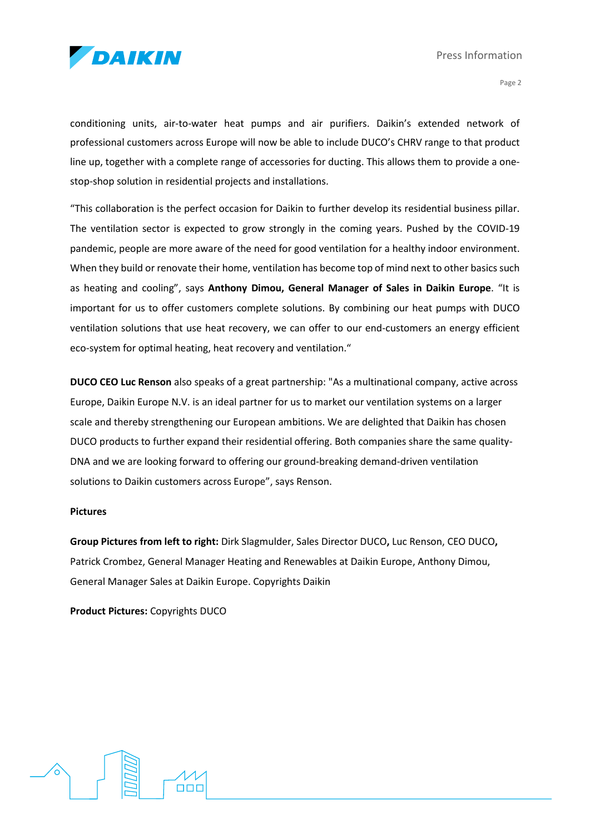

Press Information

Page 2

conditioning units, air-to-water heat pumps and air purifiers. Daikin's extended network of professional customers across Europe will now be able to include DUCO's CHRV range to that product line up, together with a complete range of accessories for ducting. This allows them to provide a onestop-shop solution in residential projects and installations.

"This collaboration is the perfect occasion for Daikin to further develop its residential business pillar. The ventilation sector is expected to grow strongly in the coming years. Pushed by the COVID-19 pandemic, people are more aware of the need for good ventilation for a healthy indoor environment. When they build or renovate their home, ventilation has become top of mind next to other basics such as heating and cooling", says **Anthony Dimou, General Manager of Sales in Daikin Europe**. "It is important for us to offer customers complete solutions. By combining our heat pumps with DUCO ventilation solutions that use heat recovery, we can offer to our end-customers an energy efficient eco-system for optimal heating, heat recovery and ventilation."

**DUCO CEO Luc Renson** also speaks of a great partnership: "As a multinational company, active across Europe, Daikin Europe N.V. is an ideal partner for us to market our ventilation systems on a larger scale and thereby strengthening our European ambitions. We are delighted that Daikin has chosen DUCO products to further expand their residential offering. Both companies share the same quality-DNA and we are looking forward to offering our ground-breaking demand-driven ventilation solutions to Daikin customers across Europe", says Renson.

#### **Pictures**

**Group Pictures from left to right:** Dirk Slagmulder, Sales Director DUCO**,** Luc Renson, CEO DUCO**,**  Patrick Crombez, General Manager Heating and Renewables at Daikin Europe, Anthony Dimou, General Manager Sales at Daikin Europe. Copyrights Daikin

**Product Pictures:** Copyrights DUCO

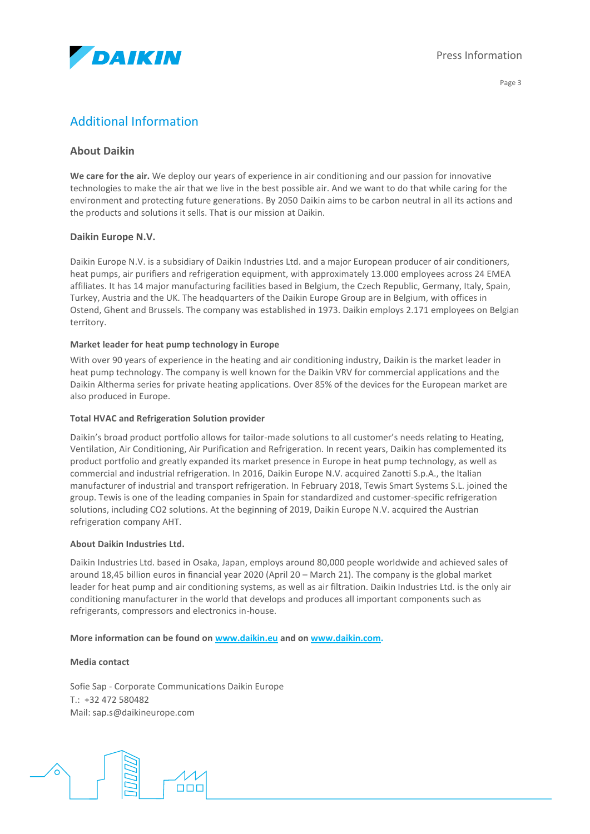

Page 3

### Additional Information

#### **About Daikin**

**We care for the air.** We deploy our years of experience in air conditioning and our passion for innovative technologies to make the air that we live in the best possible air. And we want to do that while caring for the environment and protecting future generations. By 2050 Daikin aims to be carbon neutral in all its actions and the products and solutions it sells. That is our mission at Daikin.

#### **Daikin Europe N.V.**

Daikin Europe N.V. is a subsidiary of Daikin Industries Ltd. and a major European producer of air conditioners, heat pumps, air purifiers and refrigeration equipment, with approximately 13.000 employees across 24 EMEA affiliates. It has 14 major manufacturing facilities based in Belgium, the Czech Republic, Germany, Italy, Spain, Turkey, Austria and the UK. The headquarters of the Daikin Europe Group are in Belgium, with offices in Ostend, Ghent and Brussels. The company was established in 1973. Daikin employs 2.171 employees on Belgian territory.

#### **Market leader for heat pump technology in Europe**

With over 90 years of experience in the heating and air conditioning industry, Daikin is the market leader in heat pump technology. The company is well known for the Daikin VRV for commercial applications and the Daikin Altherma series for private heating applications. Over 85% of the devices for the European market are also produced in Europe.

#### **Total HVAC and Refrigeration Solution provider**

Daikin's broad product portfolio allows for tailor-made solutions to all customer's needs relating to Heating, Ventilation, Air Conditioning, Air Purification and Refrigeration. In recent years, Daikin has complemented its product portfolio and greatly expanded its market presence in Europe in heat pump technology, as well as commercial and industrial refrigeration. In 2016, Daikin Europe N.V. acquired Zanotti S.p.A., the Italian manufacturer of industrial and transport refrigeration. In February 2018, Tewis Smart Systems S.L. joined the group. Tewis is one of the leading companies in Spain for standardized and customer-specific refrigeration solutions, including CO2 solutions. At the beginning of 2019, Daikin Europe N.V. acquired the Austrian refrigeration company AHT.

#### **About Daikin Industries Ltd.**

Daikin Industries Ltd. based in Osaka, Japan, employs around 80,000 people worldwide and achieved sales of around 18,45 billion euros in financial year 2020 (April 20 – March 21). The company is the global market leader for heat pump and air conditioning systems, as well as air filtration. Daikin Industries Ltd. is the only air conditioning manufacturer in the world that develops and produces all important components such as refrigerants, compressors and electronics in-house.

#### **More information can be found on [www.daikin.eu](http://www.daikin.eu/) and o[n www.daikin.com.](http://www.daikin.com/)**

#### **Media contact**

Sofie Sap - Corporate Communications Daikin Europe T.: +32 472 580482 Mail: sap.s@daikineurope.com